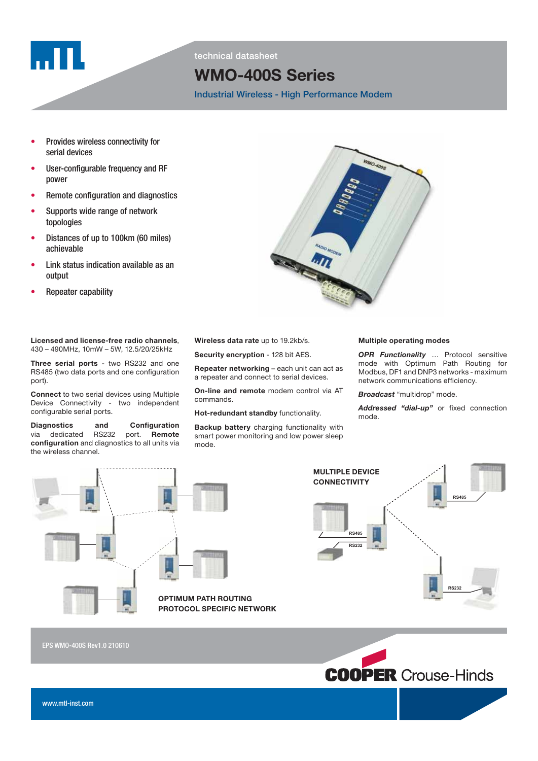

technical datasheet

# WMO-400S Series

Industrial Wireless - High Performance Modem

- Provides wireless connectivity for serial devices
- User-configurable frequency and RF power
- Remote configuration and diagnostics
- Supports wide range of network topologies
- Distances of up to 100km (60 miles) achievable
- Link status indication available as an output
- Repeater capability

Licensed and license-free radio channels, 430 – 490MHz, 10mW – 5W, 12.5/20/25kHz

Three serial ports - two RS232 and one RS485 (two data ports and one configuration port).

Connect to two serial devices using Multiple Device Connectivity - two independent configurable serial ports.

Diagnostics and Configuration<br>via dedicated RS232 port. Remote via dedicated RS232 configuration and diagnostics to all units via the wireless channel.



Security encryption - 128 bit AES.

Repeater networking – each unit can act as a repeater and connect to serial devices.

On-line and remote modem control via AT commands.

Hot-redundant standby functionality.

Backup battery charging functionality with smart power monitoring and low power sleep mode.

#### Multiple operating modes

OPR Functionality ... Protocol sensitive mode with Optimum Path Routing for Modbus, DF1 and DNP3 networks - maximum network communications efficiency.

**Broadcast** "multidrop" mode.

Addressed "dial-up" or fixed connection mode.





MULTIPLE DEVICE

EPS WMO-400S Rev1.0 210610